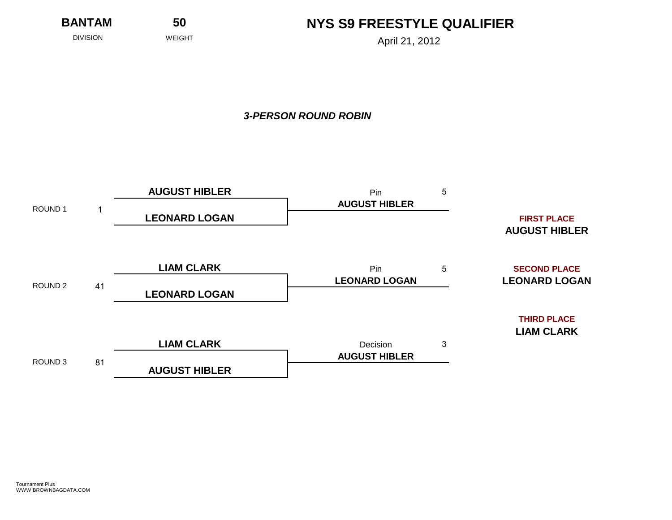DIVISION WEIGHT WEIGHT April 21, 2012

**BANTAM 50**

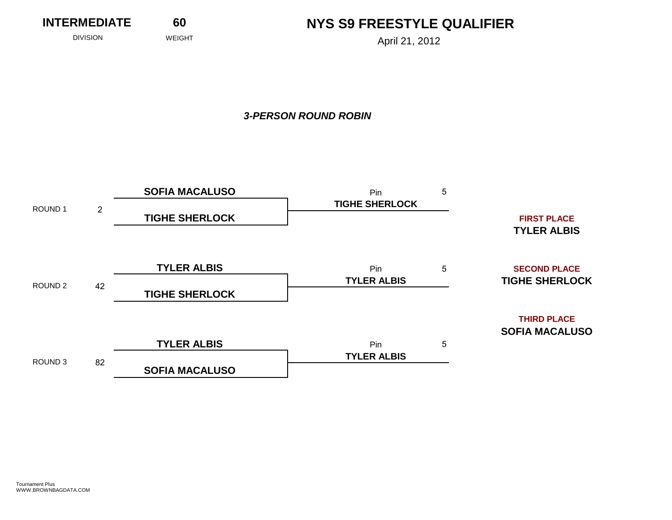**INTERMEDIATE 60**

DIVISION WEIGHT WEIGHT April 21, 2012

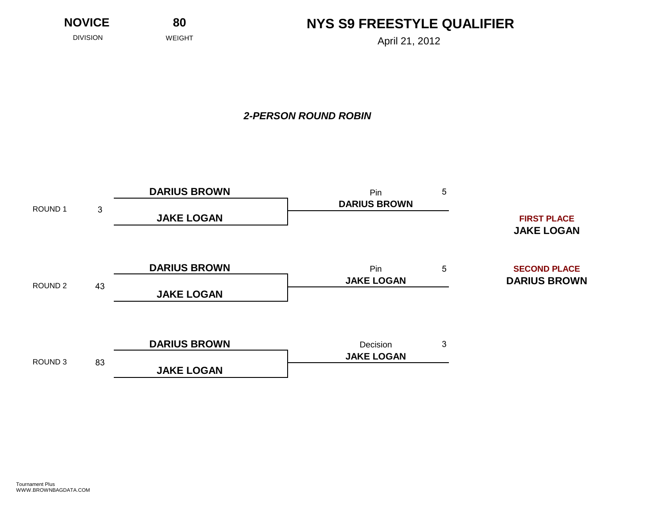**NOVICE 80**

**NYS S9 FREESTYLE QUALIFIER**

DIVISION WEIGHT WEIGHT April 21, 2012

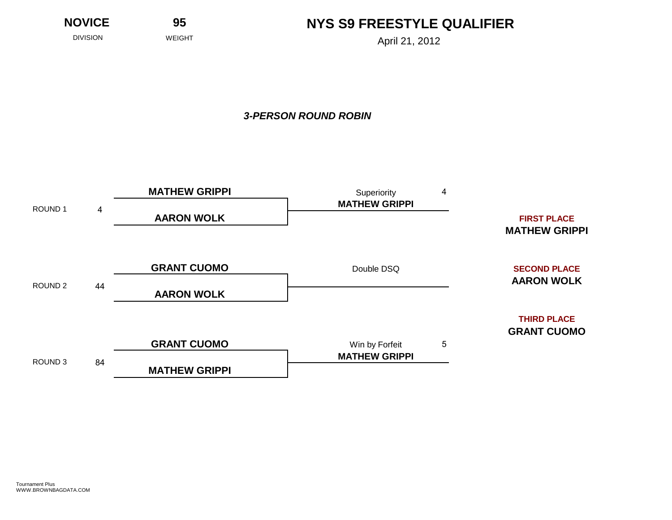DIVISION WEIGHT WEIGHT April 21, 2012

**NOVICE 95**

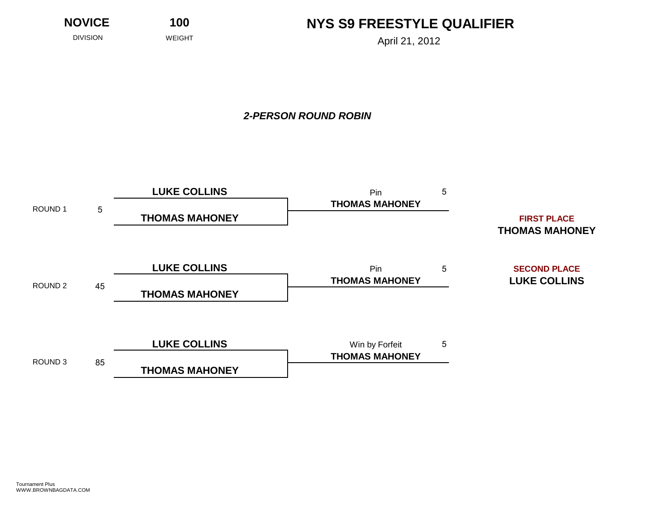**NOVICE 100**

DIVISION WEIGHT WEIGHT April 21, 2012

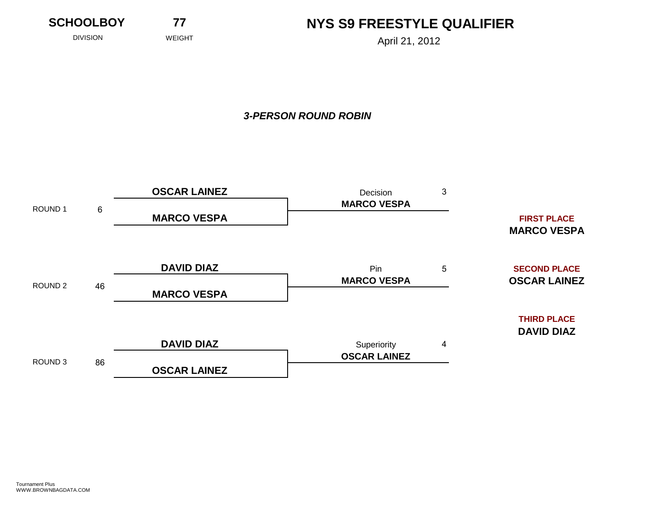**SCHOOLBOY 77**

DIVISION WEIGHT WEIGHT April 21, 2012

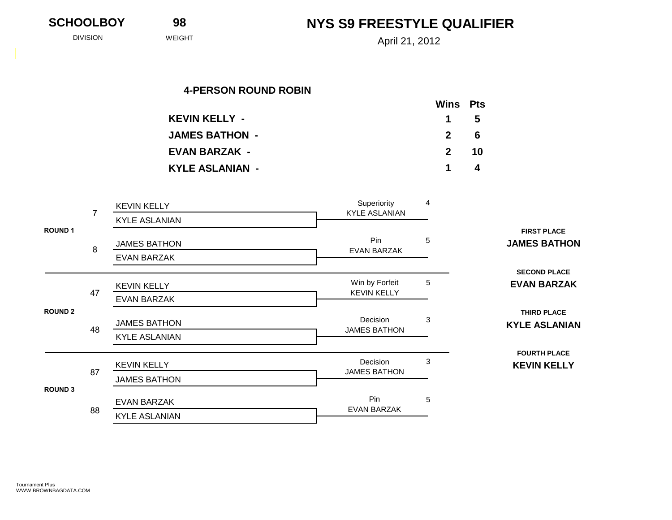| <b>SCHOOLBOY</b> | 98 |  |
|------------------|----|--|
|------------------|----|--|

DIVISION WEIGHT WEIGHT April 21, 2012

|                        | Wins Pts    |  |
|------------------------|-------------|--|
| <b>KEVIN KELLY -</b>   | $1 \quad 5$ |  |
| <b>JAMES BATHON -</b>  | $2 \quad 6$ |  |
| <b>EVAN BARZAK -</b>   | $2 \t10$    |  |
| <b>KYLE ASLANIAN -</b> | $1 \quad 4$ |  |

|                |    | <b>KEVIN KELLY</b>                          | Superiority<br><b>KYLE ASLANIAN</b> | $\overline{4}$ |                                            |
|----------------|----|---------------------------------------------|-------------------------------------|----------------|--------------------------------------------|
|                |    | <b>KYLE ASLANIAN</b>                        |                                     |                |                                            |
| <b>ROUND 1</b> | 8  | <b>JAMES BATHON</b><br><b>EVAN BARZAK</b>   | Pin<br><b>EVAN BARZAK</b>           | 5              | <b>FIRST PLACE</b><br><b>JAMES BATHON</b>  |
|                |    |                                             |                                     |                | <b>SECOND PLACE</b>                        |
|                |    | <b>KEVIN KELLY</b>                          | Win by Forfeit                      | 5              | <b>EVAN BARZAK</b>                         |
|                | 47 | <b>EVAN BARZAK</b>                          | <b>KEVIN KELLY</b>                  |                |                                            |
| <b>ROUND 2</b> | 48 | <b>JAMES BATHON</b><br><b>KYLE ASLANIAN</b> | Decision<br><b>JAMES BATHON</b>     | 3              | <b>THIRD PLACE</b><br><b>KYLE ASLANIAN</b> |
|                |    |                                             |                                     |                |                                            |
|                | 87 | <b>KEVIN KELLY</b>                          | Decision<br><b>JAMES BATHON</b>     | 3              | <b>FOURTH PLACE</b><br><b>KEVIN KELLY</b>  |
|                |    | <b>JAMES BATHON</b>                         |                                     |                |                                            |
| <b>ROUND 3</b> | 88 | <b>EVAN BARZAK</b>                          | Pin<br>EVAN BARZAK                  | 5              |                                            |
|                |    | <b>KYLE ASLANIAN</b>                        |                                     |                |                                            |
|                |    |                                             |                                     |                |                                            |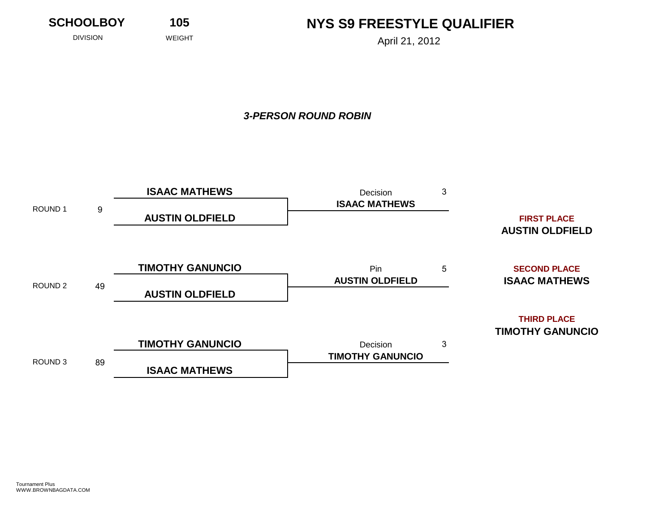**SCHOOLBOY 105**

DIVISION WEIGHT WEIGHT April 21, 2012

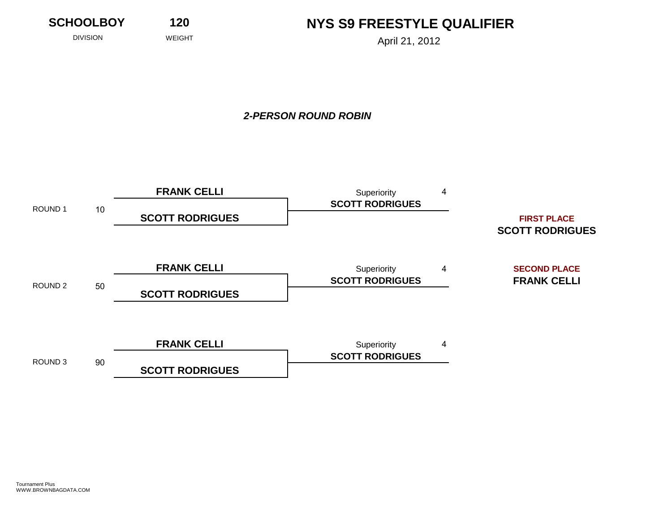**SCHOOLBOY 120**

DIVISION WEIGHT WEIGHT April 21, 2012

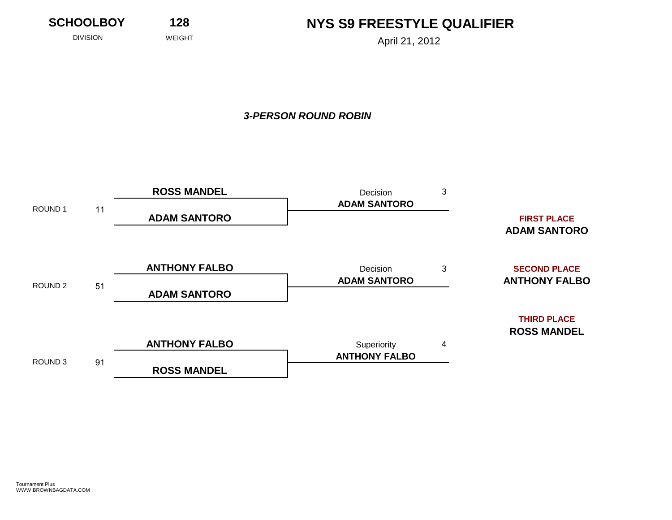**SCHOOLBOY 128**

DIVISION WEIGHT WEIGHT April 21, 2012

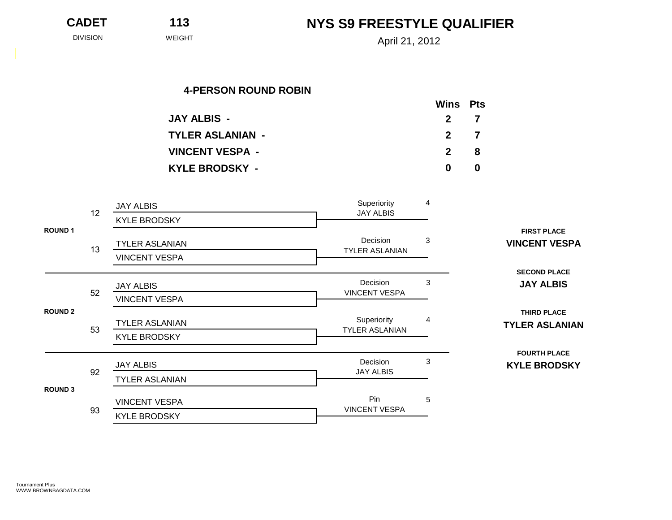DIVISION WEIGHT WEIGHT April 21, 2012

|                         | Wins Pts         |   |  |
|-------------------------|------------------|---|--|
| <b>JAY ALBIS -</b>      | $2 \overline{7}$ |   |  |
| <b>TYLER ASLANIAN -</b> | $2 \overline{7}$ |   |  |
| <b>VINCENT VESPA -</b>  | $2 \quad 8$      |   |  |
| <b>KYLE BRODSKY -</b>   | O.               | 0 |  |

|                | 12 | <b>JAY ALBIS</b>                              | Superiority<br>JAY ALBIS             | 4 |                                             |
|----------------|----|-----------------------------------------------|--------------------------------------|---|---------------------------------------------|
|                |    | <b>KYLE BRODSKY</b>                           |                                      |   |                                             |
| <b>ROUND 1</b> | 13 | <b>TYLER ASLANIAN</b><br><b>VINCENT VESPA</b> | Decision<br>TYLER ASLANIAN           | 3 | <b>FIRST PLACE</b><br><b>VINCENT VESPA</b>  |
|                |    |                                               |                                      |   | <b>SECOND PLACE</b>                         |
|                |    | <b>JAY ALBIS</b>                              | Decision                             | 3 | <b>JAY ALBIS</b>                            |
|                | 52 | <b>VINCENT VESPA</b>                          | <b>VINCENT VESPA</b>                 |   |                                             |
| <b>ROUND 2</b> | 53 | <b>TYLER ASLANIAN</b>                         | Superiority<br><b>TYLER ASLANIAN</b> | 4 | <b>THIRD PLACE</b><br><b>TYLER ASLANIAN</b> |
|                |    | <b>KYLE BRODSKY</b>                           |                                      |   |                                             |
|                |    |                                               |                                      |   | <b>FOURTH PLACE</b>                         |
|                |    | <b>JAY ALBIS</b>                              | Decision                             | 3 | <b>KYLE BRODSKY</b>                         |
|                | 92 | <b>TYLER ASLANIAN</b>                         | JAY ALBIS                            |   |                                             |
| <b>ROUND 3</b> |    | <b>VINCENT VESPA</b>                          | Pin<br><b>VINCENT VESPA</b>          | 5 |                                             |
|                | 93 | <b>KYLE BRODSKY</b>                           |                                      |   |                                             |
|                |    |                                               |                                      |   |                                             |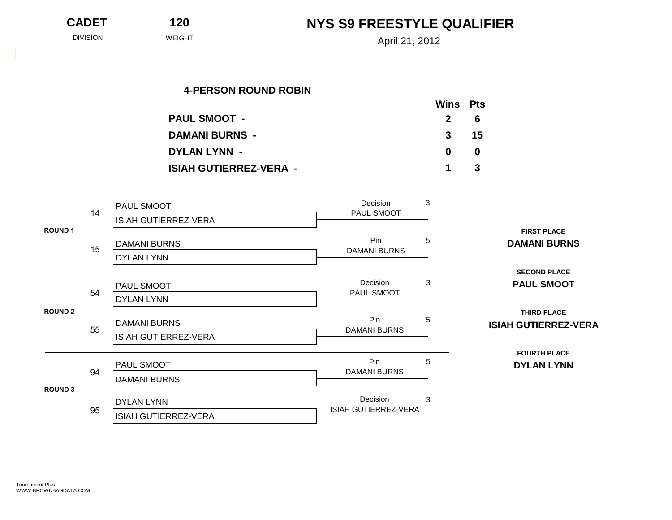| <b>CADET</b> | 120 | N |
|--------------|-----|---|
| _   _ . _    |     |   |

DIVISION WEIGHT WEIGHT April 21, 2012

|                               | Wins Pts     |               |
|-------------------------------|--------------|---------------|
| <b>PAUL SMOOT -</b>           | $\mathbf{2}$ | - 6           |
| <b>DAMANI BURNS -</b>         |              | $3 \qquad 15$ |
| <b>DYLAN LYNN -</b>           | $\mathbf{0}$ | -0            |
| <b>ISIAH GUTIERREZ-VERA -</b> | $1 \quad 3$  |               |

|                | 14 | PAUL SMOOT                  | 3<br>Decision<br>PAUL SMOOT      |   |                                                   |
|----------------|----|-----------------------------|----------------------------------|---|---------------------------------------------------|
|                |    | ISIAH GUTIERREZ-VERA        |                                  |   |                                                   |
| <b>ROUND 1</b> | 15 | <b>DAMANI BURNS</b>         | Pin<br><b>DAMANI BURNS</b>       | 5 | <b>FIRST PLACE</b><br><b>DAMANI BURNS</b>         |
|                |    | <b>DYLAN LYNN</b>           |                                  |   | <b>SECOND PLACE</b>                               |
|                |    | PAUL SMOOT                  | Decision                         | 3 | <b>PAUL SMOOT</b>                                 |
|                | 54 | <b>DYLAN LYNN</b>           | PAUL SMOOT                       |   |                                                   |
| <b>ROUND 2</b> | 55 | <b>DAMANI BURNS</b>         | Pin<br><b>DAMANI BURNS</b>       | 5 | <b>THIRD PLACE</b><br><b>ISIAH GUTIERREZ-VERA</b> |
|                |    | ISIAH GUTIERREZ-VERA        |                                  |   |                                                   |
|                |    |                             |                                  |   | <b>FOURTH PLACE</b>                               |
|                | 94 | PAUL SMOOT                  | Pin<br><b>DAMANI BURNS</b>       | 5 | <b>DYLAN LYNN</b>                                 |
|                |    | <b>DAMANI BURNS</b>         |                                  |   |                                                   |
| <b>ROUND 3</b> | 95 | <b>DYLAN LYNN</b>           | Decision<br>ISIAH GUTIERREZ-VERA | 3 |                                                   |
|                |    | <b>ISIAH GUTIERREZ-VERA</b> |                                  |   |                                                   |
|                |    |                             |                                  |   |                                                   |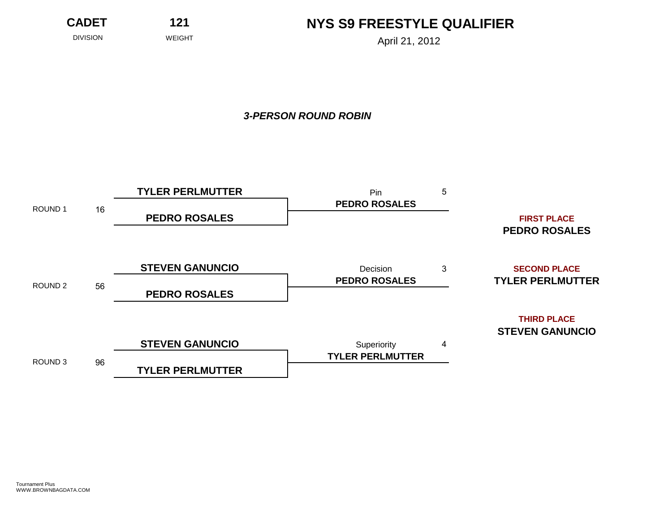**CADET 121**

DIVISION WEIGHT WEIGHT April 21, 2012

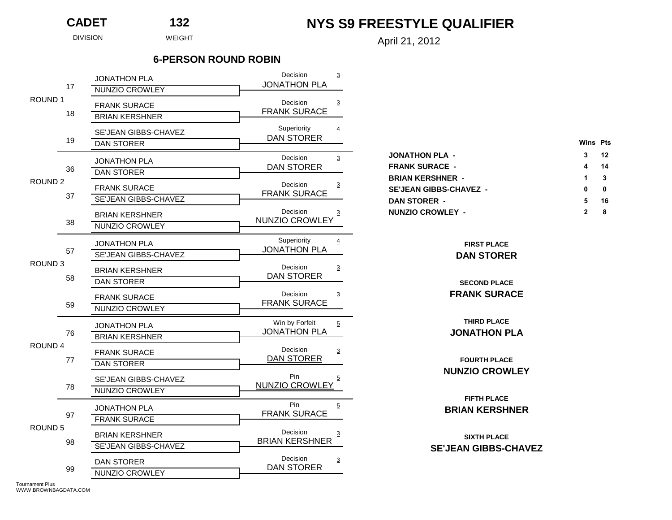| Tournament Plus      |  |
|----------------------|--|
| WWW.BROWNBAGDATA.COM |  |

| ROUND 1            | 18 | <b>FRANK SURACE</b><br><b>BRIAN KERSHNER</b>  | Decision<br>$\overline{3}$<br><b>FRANK SURACE</b>        |                                                                   |
|--------------------|----|-----------------------------------------------|----------------------------------------------------------|-------------------------------------------------------------------|
|                    | 19 | SE'JEAN GIBBS-CHAVEZ<br><b>DAN STORER</b>     | Superiority<br>$\overline{4}$<br><b>DAN STORER</b>       |                                                                   |
|                    | 36 | <b>JONATHON PLA</b><br><b>DAN STORER</b>      | Decision<br>3<br><b>DAN STORER</b>                       | <b>JONATHON PLA</b><br><b>FRANK SURACE</b><br><b>BRIAN KERSHN</b> |
| ROUND <sub>2</sub> | 37 | <b>FRANK SURACE</b><br>SE'JEAN GIBBS-CHAVEZ   | Decision<br>$\overline{3}$<br><b>FRANK SURACE</b>        | <b>SE'JEAN GIBBS</b><br><b>DAN STORER -</b>                       |
|                    | 38 | <b>BRIAN KERSHNER</b><br>NUNZIO CROWLEY       | Decision<br>3<br><b>NUNZIO CROWLEY</b>                   | <b>NUNZIO CROWL</b>                                               |
|                    | 57 | <b>JONATHON PLA</b><br>SE'JEAN GIBBS-CHAVEZ   | Superiority<br>$\overline{4}$<br><b>JONATHON PLA</b>     |                                                                   |
| ROUND <sub>3</sub> | 58 | <b>BRIAN KERSHNER</b><br><b>DAN STORER</b>    | Decision<br>$\overline{3}$<br><b>DAN STORER</b>          |                                                                   |
|                    | 59 | <b>FRANK SURACE</b><br>NUNZIO CROWLEY         | Decision<br>$\overline{3}$<br><b>FRANK SURACE</b>        |                                                                   |
|                    | 76 | <b>JONATHON PLA</b><br><b>BRIAN KERSHNER</b>  | Win by Forfeit<br>$5\overline{)}$<br><b>JONATHON PLA</b> |                                                                   |
| ROUND 4            | 77 | <b>FRANK SURACE</b><br><b>DAN STORER</b>      | Decision<br>$\overline{3}$<br><b>DAN STORER</b>          |                                                                   |
|                    | 78 | SE'JEAN GIBBS-CHAVEZ<br>NUNZIO CROWLEY        | Pin<br>$\overline{5}$<br><b>NUNZIO CROWLEY</b>           | N                                                                 |
|                    | 97 | <b>JONATHON PLA</b><br><b>FRANK SURACE</b>    | Pin<br>5<br><b>FRANK SURACE</b>                          |                                                                   |
| ROUND 5            | 98 | <b>BRIAN KERSHNER</b><br>SE'JEAN GIBBS-CHAVEZ | Decision<br>3<br><b>BRIAN KERSHNER</b>                   | SE'.                                                              |
|                    | 99 | <b>DAN STORER</b><br>NUNZIO CROWLEY           | Decision<br>$\overline{3}$<br><b>DAN STORER</b>          |                                                                   |
|                    |    |                                               |                                                          |                                                                   |

DIVISION WEIGHT WEIGHT April 21, 2012

 $\overline{3}$ 

### **6-PERSON ROUND ROBIN**

Decision 3

JONATHON PLA

|   |                               | Wins Pts |    |
|---|-------------------------------|----------|----|
| 3 | <b>JONATHON PLA -</b>         | 3.       | 12 |
|   | <b>FRANK SURACE -</b>         | 4        | 14 |
|   | <b>BRIAN KERSHNER -</b>       | 1.       | 3  |
|   | <b>SE'JEAN GIBBS-CHAVEZ -</b> | 0        | 0  |
|   | <b>DAN STORER -</b>           | 5        | 16 |
|   | <b>NUNZIO CROWLEY -</b>       | 2        | 8  |

#### **FIRST PLACE DAN STORER**

# **SECOND PLACE**

## **FRANK SURACE**

#### **THIRD PLACE JONATHON PLA**

#### **FOURTH PLACE NUNZIO CROWLEY**

#### **FIFTH PLACE BRIAN KERSHNER**

#### **SIXTH PLACE SE'JEAN GIBBS-CHAVEZ**

JONATHON PLA

1 NUNZIO CROWLEY 17

ROUND 1

**CADET 132**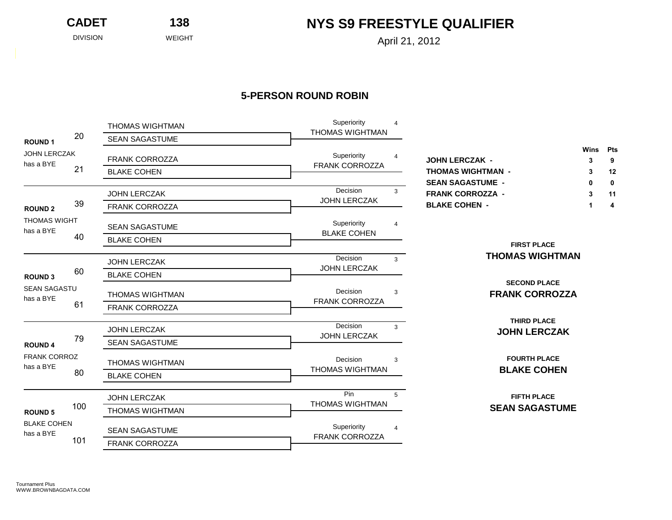**CADET 138**

|                                                    | 20  | <b>THOMAS WIGHTMAN</b> | Superiority<br>4                                    |                                           |           |                 |
|----------------------------------------------------|-----|------------------------|-----------------------------------------------------|-------------------------------------------|-----------|-----------------|
| <b>ROUND1</b>                                      |     | <b>SEAN SAGASTUME</b>  | <b>THOMAS WIGHTMAN</b>                              |                                           |           |                 |
| <b>JOHN LERCZAK</b><br>has a BYE                   |     | FRANK CORROZZA         | Superiority<br>4<br><b>FRANK CORROZZA</b>           | <b>JOHN LERCZAK -</b>                     | Wins<br>3 | <b>Pts</b><br>9 |
|                                                    | 21  | <b>BLAKE COHEN</b>     |                                                     | <b>THOMAS WIGHTMAN -</b>                  | 3         | 12              |
|                                                    |     |                        | Decision                                            | <b>SEAN SAGASTUME -</b>                   |           | $\mathbf 0$     |
|                                                    |     | <b>JOHN LERCZAK</b>    | 3<br><b>JOHN LERCZAK</b>                            | <b>FRANK CORROZZA -</b>                   |           | 11              |
| <b>ROUND 2</b><br><b>THOMAS WIGHT</b><br>has a BYE | 39  | <b>FRANK CORROZZA</b>  |                                                     | <b>BLAKE COHEN -</b>                      |           | 4               |
|                                                    |     | <b>SEAN SAGASTUME</b>  | Superiority<br>$\overline{4}$<br><b>BLAKE COHEN</b> |                                           |           |                 |
|                                                    | 40  | <b>BLAKE COHEN</b>     |                                                     | <b>FIRST PLACE</b>                        |           |                 |
|                                                    |     |                        | Decision                                            | <b>THOMAS WIGHTMAN</b>                    |           |                 |
|                                                    |     | <b>JOHN LERCZAK</b>    | $\mathbf{3}$<br>JOHN LERCZAK                        |                                           |           |                 |
| <b>ROUND 3</b>                                     | 60  | <b>BLAKE COHEN</b>     |                                                     | <b>SECOND PLACE</b>                       |           |                 |
| <b>SEAN SAGASTU</b><br>has a BYE                   | 61  | <b>THOMAS WIGHTMAN</b> | Decision<br>3<br>FRANK CORROZZA                     | <b>FRANK CORROZZA</b>                     |           |                 |
|                                                    |     | <b>FRANK CORROZZA</b>  |                                                     |                                           |           |                 |
|                                                    |     | <b>JOHN LERCZAK</b>    | Decision<br>$\mathbf{3}$<br><b>JOHN LERCZAK</b>     | THIRD PLACE<br><b>JOHN LERCZAK</b>        |           |                 |
| <b>ROUND 4</b>                                     | 79  | <b>SEAN SAGASTUME</b>  |                                                     |                                           |           |                 |
| <b>FRANK CORROZ</b><br>has a BYE                   |     | <b>THOMAS WIGHTMAN</b> | Decision<br>3<br><b>THOMAS WIGHTMAN</b>             | <b>FOURTH PLACE</b><br><b>BLAKE COHEN</b> |           |                 |
|                                                    | 80  | <b>BLAKE COHEN</b>     |                                                     |                                           |           |                 |
|                                                    |     | <b>JOHN LERCZAK</b>    | Pin<br>5<br><b>THOMAS WIGHTMAN</b>                  | <b>FIFTH PLACE</b>                        |           |                 |
| <b>ROUND 5</b>                                     | 100 | <b>THOMAS WIGHTMAN</b> |                                                     | <b>SEAN SAGASTUME</b>                     |           |                 |
| <b>BLAKE COHEN</b><br>has a BYE                    |     | <b>SEAN SAGASTUME</b>  | Superiority<br>4<br>FRANK CORROZZA                  |                                           |           |                 |
|                                                    | 101 | FRANK CORROZZA         |                                                     |                                           |           |                 |
|                                                    |     |                        |                                                     |                                           |           |                 |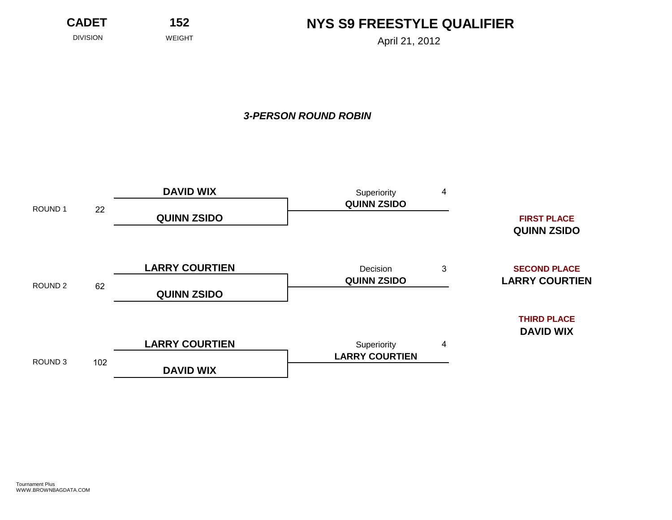**CADET 152**

DIVISION WEIGHT WEIGHT April 21, 2012

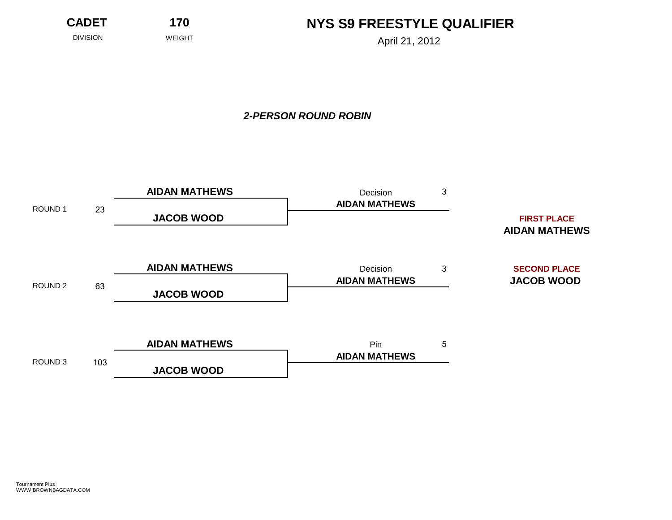**CADET 170**

DIVISION WEIGHT WEIGHT April 21, 2012

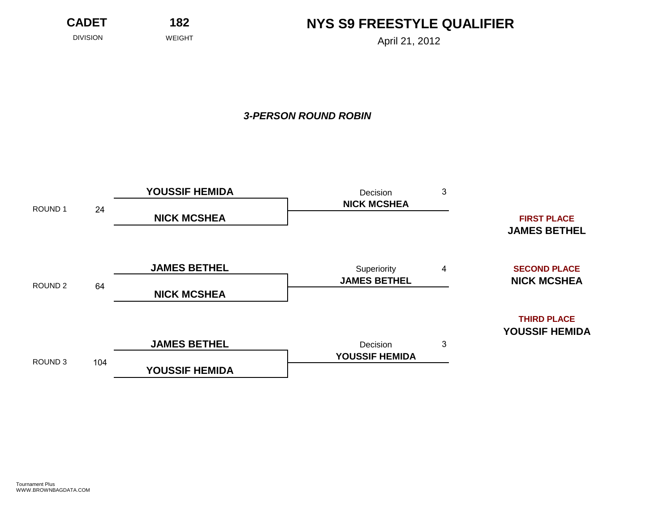DIVISION WEIGHT WEIGHT April 21, 2012

**CADET 182**

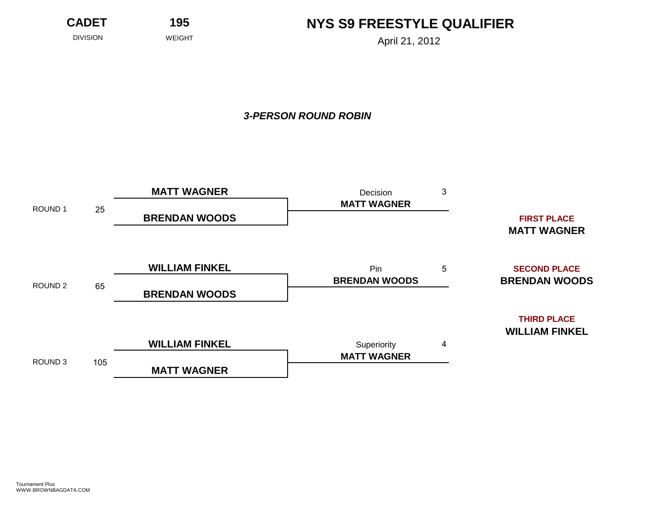**CADET 195**

DIVISION WEIGHT WEIGHT April 21, 2012

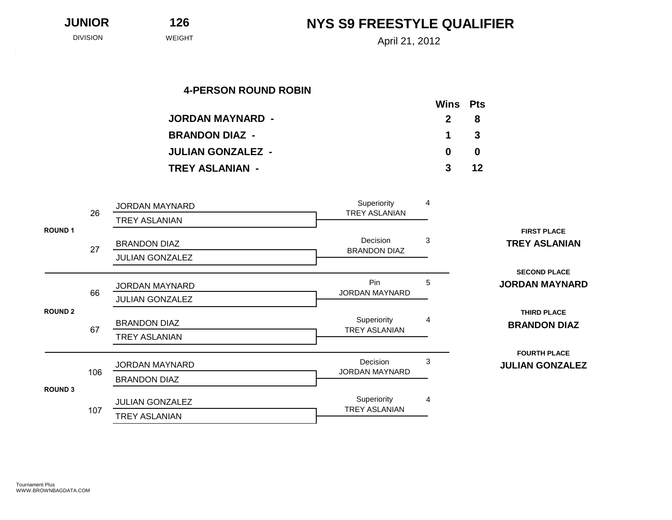| <b>JUNIOR</b>   | 126    | <b>NYS S9 FREESTYLE QUALIFIER</b> |
|-----------------|--------|-----------------------------------|
| <b>DIVISION</b> | WEIGHT | April 21, 2012                    |

|                          | Wins Pts     |     |
|--------------------------|--------------|-----|
| <b>JORDAN MAYNARD -</b>  | $2^{\circ}$  | - 8 |
| <b>BRANDON DIAZ -</b>    | $1 \quad 3$  |     |
| <b>JULIAN GONZALEZ -</b> | $\mathbf{0}$ | 0   |
| <b>TREY ASLANIAN -</b>   | $3 \quad 12$ |     |

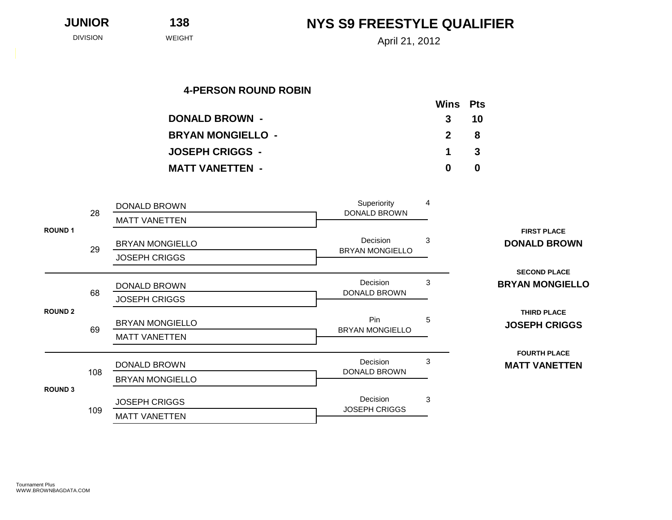| <b>JUNIOR</b>   | 138    | NYS S9 FREESTYLE QUALIFIER |
|-----------------|--------|----------------------------|
| <b>DIVISION</b> | WEIGHT | April 21, 2012             |

|                          | Wins Pts     |   |  |
|--------------------------|--------------|---|--|
| <b>DONALD BROWN -</b>    | $3 \quad 10$ |   |  |
| <b>BRYAN MONGIELLO -</b> | $2 \quad 8$  |   |  |
| <b>JOSEPH CRIGGS -</b>   | $1 \quad 3$  |   |  |
| <b>MATT VANETTEN -</b>   | 0            | 0 |  |

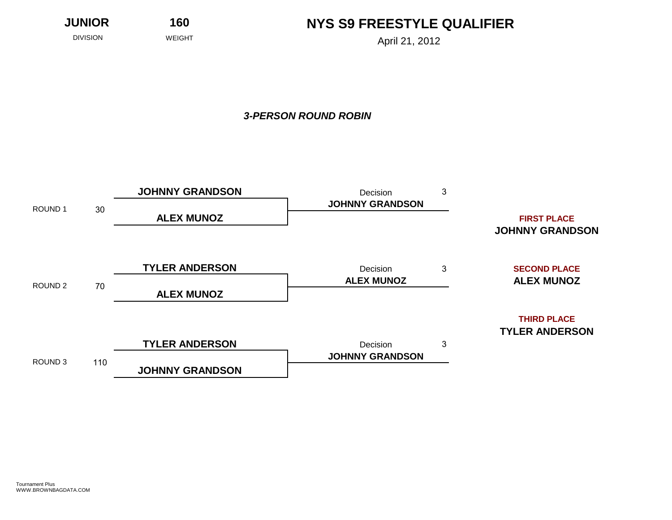DIVISION WEIGHT WEIGHT April 21, 2012

**JUNIOR 160**

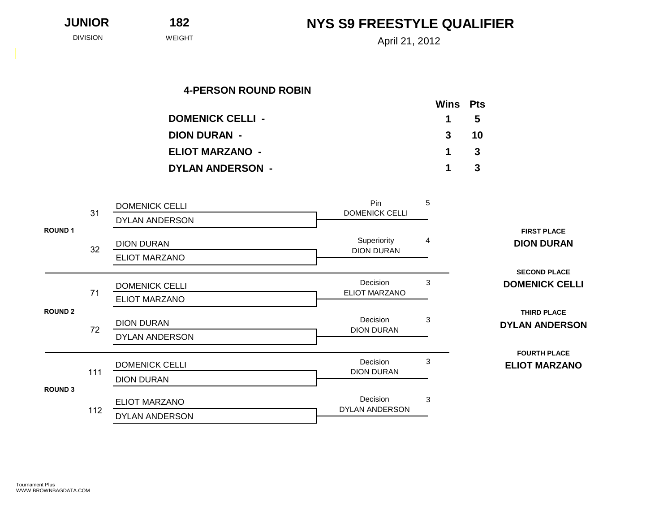|                         | Wins Pts    |    |
|-------------------------|-------------|----|
| <b>DOMENICK CELLI -</b> | $1 \quad 5$ |    |
| <b>DION DURAN -</b>     | $3^{\circ}$ | 10 |
| <b>ELIOT MARZANO -</b>  | $1 \quad 3$ |    |
| <b>DYLAN ANDERSON -</b> | $\mathbf 1$ | -3 |

| DYLAN ANDERSON<br><b>FIRST PLACE</b><br>4<br>Superiority<br><b>DION DURAN</b><br><b>DION DURAN</b><br>32<br><b>DION DURAN</b><br><b>ELIOT MARZANO</b><br><b>SECOND PLACE</b><br>3<br>Decision<br><b>DOMENICK CELLI</b><br><b>DOMENICK CELLI</b><br>71<br>ELIOT MARZANO<br>ELIOT MARZANO<br><b>ROUND 2</b><br><b>THIRD PLACE</b><br>$\mathbf{3}$<br>Decision<br><b>DION DURAN</b><br><b>DYLAN ANDERSON</b><br>72<br><b>DION DURAN</b><br>DYLAN ANDERSON<br><b>FOURTH PLACE</b><br>3<br>Decision<br><b>DOMENICK CELLI</b><br><b>ELIOT MARZANO</b><br><b>DION DURAN</b><br>111<br><b>DION DURAN</b> |                | 31  | <b>DOMENICK CELLI</b> | Pin<br><b>DOMENICK CELLI</b> | 5 |  |  |
|--------------------------------------------------------------------------------------------------------------------------------------------------------------------------------------------------------------------------------------------------------------------------------------------------------------------------------------------------------------------------------------------------------------------------------------------------------------------------------------------------------------------------------------------------------------------------------------------------|----------------|-----|-----------------------|------------------------------|---|--|--|
|                                                                                                                                                                                                                                                                                                                                                                                                                                                                                                                                                                                                  | <b>ROUND 1</b> |     |                       |                              |   |  |  |
|                                                                                                                                                                                                                                                                                                                                                                                                                                                                                                                                                                                                  |                |     |                       |                              |   |  |  |
|                                                                                                                                                                                                                                                                                                                                                                                                                                                                                                                                                                                                  |                |     |                       |                              |   |  |  |
|                                                                                                                                                                                                                                                                                                                                                                                                                                                                                                                                                                                                  |                |     |                       |                              |   |  |  |
|                                                                                                                                                                                                                                                                                                                                                                                                                                                                                                                                                                                                  |                |     |                       |                              |   |  |  |
|                                                                                                                                                                                                                                                                                                                                                                                                                                                                                                                                                                                                  |                |     |                       |                              |   |  |  |
|                                                                                                                                                                                                                                                                                                                                                                                                                                                                                                                                                                                                  |                |     |                       |                              |   |  |  |
|                                                                                                                                                                                                                                                                                                                                                                                                                                                                                                                                                                                                  |                |     |                       |                              |   |  |  |
|                                                                                                                                                                                                                                                                                                                                                                                                                                                                                                                                                                                                  | <b>ROUND 3</b> |     |                       |                              |   |  |  |
|                                                                                                                                                                                                                                                                                                                                                                                                                                                                                                                                                                                                  |                |     |                       |                              |   |  |  |
| Decision<br>3<br><b>ELIOT MARZANO</b><br>DYLAN ANDERSON                                                                                                                                                                                                                                                                                                                                                                                                                                                                                                                                          |                | 112 |                       |                              |   |  |  |
| DYLAN ANDERSON                                                                                                                                                                                                                                                                                                                                                                                                                                                                                                                                                                                   |                |     |                       |                              |   |  |  |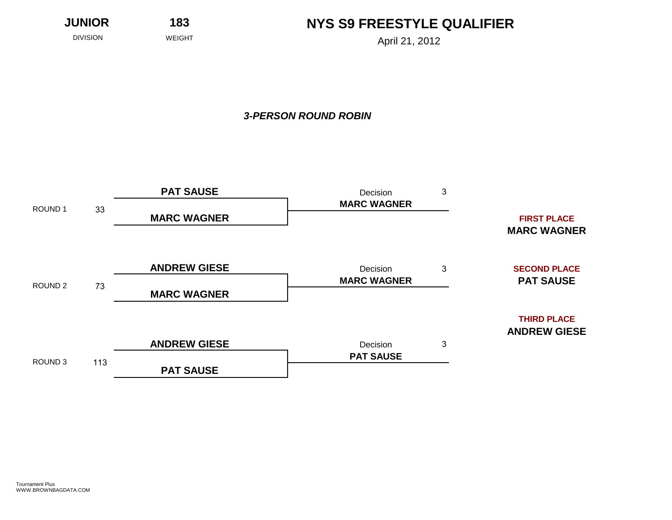**JUNIOR 183**

DIVISION WEIGHT WEIGHT April 21, 2012

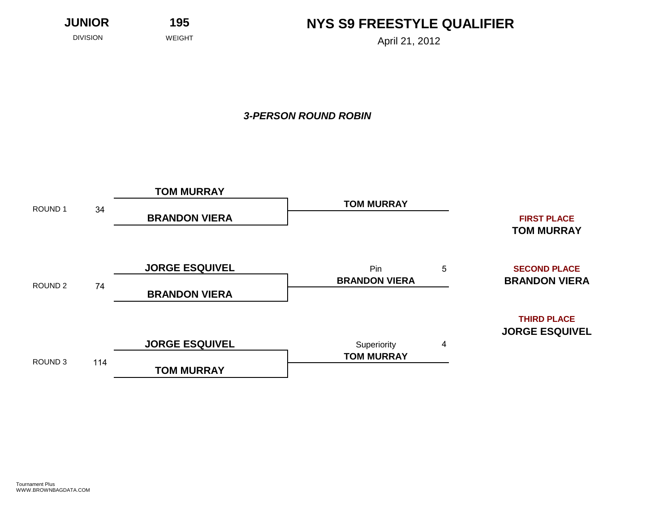**JUNIOR 195**

**NYS S9 FREESTYLE QUALIFIER**

DIVISION WEIGHT WEIGHT April 21, 2012